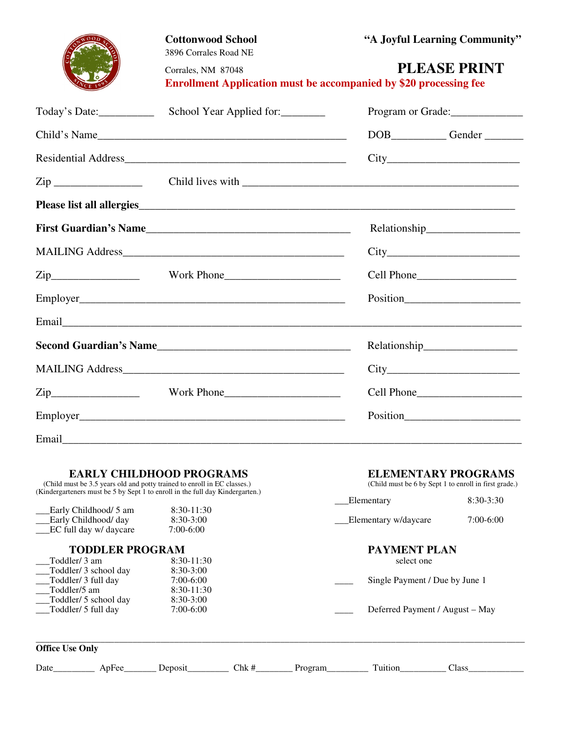|                   | <b>Cottonwood School</b><br>3896 Corrales Road NE                                                                                                                                                                                      | "A Joyful Learning Community"                                                                   |  |  |
|-------------------|----------------------------------------------------------------------------------------------------------------------------------------------------------------------------------------------------------------------------------------|-------------------------------------------------------------------------------------------------|--|--|
|                   | Corrales, NM 87048                                                                                                                                                                                                                     | <b>PLEASE PRINT</b><br><b>Enrollment Application must be accompanied by \$20 processing fee</b> |  |  |
| Today's Date:     | School Year Applied for:                                                                                                                                                                                                               | Program or Grade:                                                                               |  |  |
|                   | Child's Name                                                                                                                                                                                                                           | DOB____________Gender ________                                                                  |  |  |
|                   |                                                                                                                                                                                                                                        |                                                                                                 |  |  |
| $\mathsf{Zip} \_$ |                                                                                                                                                                                                                                        |                                                                                                 |  |  |
|                   |                                                                                                                                                                                                                                        |                                                                                                 |  |  |
|                   |                                                                                                                                                                                                                                        |                                                                                                 |  |  |
|                   |                                                                                                                                                                                                                                        |                                                                                                 |  |  |
|                   |                                                                                                                                                                                                                                        |                                                                                                 |  |  |
|                   |                                                                                                                                                                                                                                        |                                                                                                 |  |  |
|                   |                                                                                                                                                                                                                                        |                                                                                                 |  |  |
|                   | Second Guardian's Name<br><u>Letter and the second contract of the second contract of the second contract of the second contract of the second contract of the second contract of the second contract of the second contract of th</u> |                                                                                                 |  |  |
|                   |                                                                                                                                                                                                                                        |                                                                                                 |  |  |
| $\mathsf{Zip}\_$  | Work Phone                                                                                                                                                                                                                             |                                                                                                 |  |  |
|                   |                                                                                                                                                                                                                                        |                                                                                                 |  |  |
| Email             |                                                                                                                                                                                                                                        |                                                                                                 |  |  |

## **EARLY CHILDHOOD PROGRAMS ELEMENTARY PROGRAMS**

(Child must be 3.5 years old and potty trained to enroll in EC classes.) (Child must be 6 by Sept 1 to enroll in first grade.) (Kindergarteners must be 5 by Sept 1 to enroll in the full day Kindergarten.)

|                                               |                        |                           |       |                      | Elementary                      | $8:30-3:30$  |
|-----------------------------------------------|------------------------|---------------------------|-------|----------------------|---------------------------------|--------------|
| Early Childhood/ 5 am<br>Early Childhood/ day |                        | $8:30-11:30$<br>8:30-3:00 |       | Elementary w/daycare |                                 | $7:00-6:00$  |
|                                               | EC full day w/ daycare | 7:00-6:00                 |       |                      |                                 |              |
| <b>TODDLER PROGRAM</b>                        |                        |                           |       | <b>PAYMENT PLAN</b>  |                                 |              |
| $8:30-11:30$<br>Toddler/3 am                  |                        |                           |       | select one           |                                 |              |
|                                               | Toddler/ 3 school day  | $8:30-3:00$               |       |                      |                                 |              |
| Toddler/ 3 full day<br>$7:00-6:00$            |                        |                           |       |                      | Single Payment / Due by June 1  |              |
| Toddler/5 am                                  |                        | $8:30-11:30$              |       |                      |                                 |              |
|                                               | Toddler/ 5 school day  | $8:30-3:00$               |       |                      |                                 |              |
| Toddler/ 5 full day                           |                        | $7:00-6:00$               |       |                      | Deferred Payment / August – May |              |
| <b>Office Use Only</b>                        |                        |                           |       |                      |                                 |              |
| Date                                          | ApFee                  | Deposit                   | Chk # | Program              | Tuition                         | <b>Class</b> |